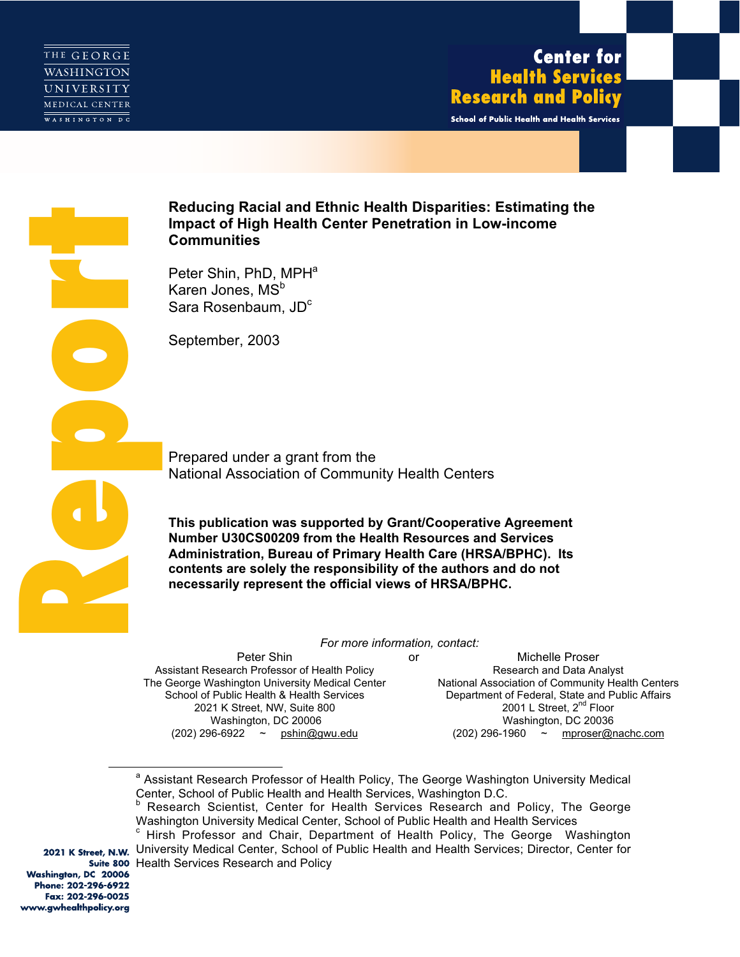

## **Center for Health Services Research and Policy**

School of Public Health and Health Services



# **Impact of High Health Center Penetration in Low-income Communities**

Peter Shin, PhD, MPH<sup>a</sup> Karen Jones, MS<sup>b</sup> Sara Rosenbaum, JD<sup>c</sup>

September, 2003

Prepared under a grant from the National Association of Community Health Centers

**This publication was supported by Grant/Cooperative Agreement Number U30CS00209 from the Health Resources and Services Administration, Bureau of Primary Health Care (HRSA/BPHC). Its contents are solely the responsibility of the authors and do not necessarily represent the official views of HRSA/BPHC.**

*For more information, contact:*

Peter Shin Assistant Research Professor of Health Policy The George Washington University Medical Center School of Public Health & Health Services 2021 K Street, NW, Suite 800 Washington, DC 20006 (202) 296-6922 ~ pshin@gwu.edu

or Michelle Proser Research and Data Analyst National Association of Community Health Centers Department of Federal, State and Public Affairs 2001 L Street, 2<sup>nd</sup> Floor Washington, DC 20036<br>(202) 296-1960 ~ mproser@r mproser@nachc.com

Washington, DC 20006 Phone: 202-296-6922 Fax: 202-296-0025 www.gwhealthpolicy.org

 $\overline{a}$ 

<sup>&</sup>lt;sup>a</sup> Assistant Research Professor of Health Policy, The George Washington University Medical Center, School of Public Health and Health Services, Washington D.C.

Research Scientist, Center for Health Services Research and Policy, The George Washington University Medical Center, School of Public Health and Health Services

Hirsh Professor and Chair, Department of Health Policy, The George Washington 2021 K Street, N.W. University Medical Center, School of Public Health and Health Services; Director, Center for Suite 800 Health Services Research and Policy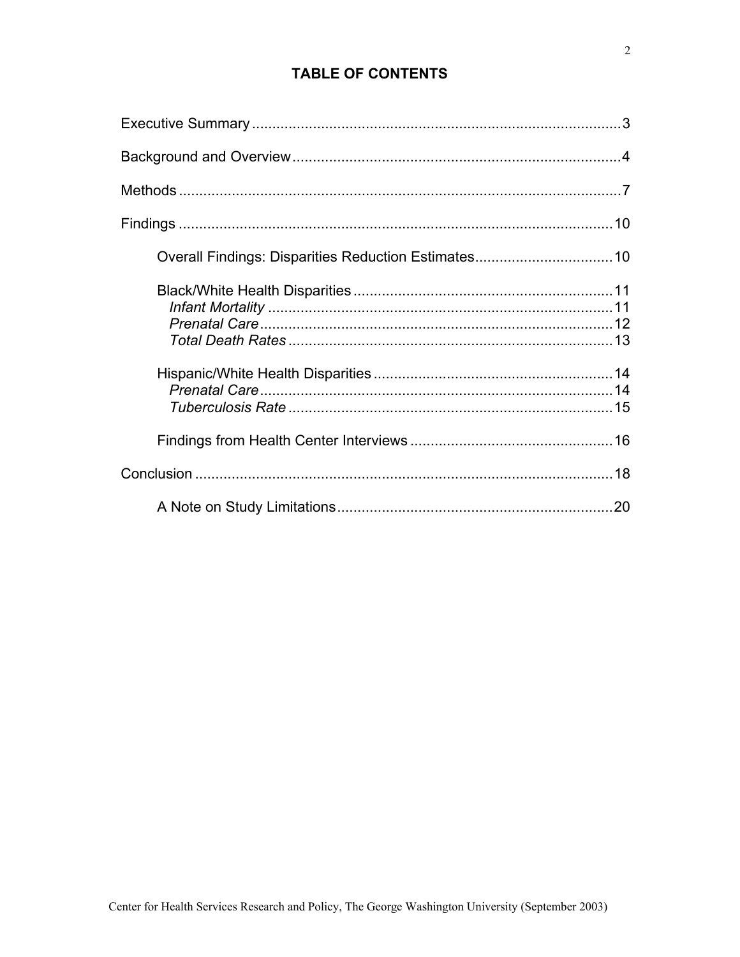## **TABLE OF CONTENTS**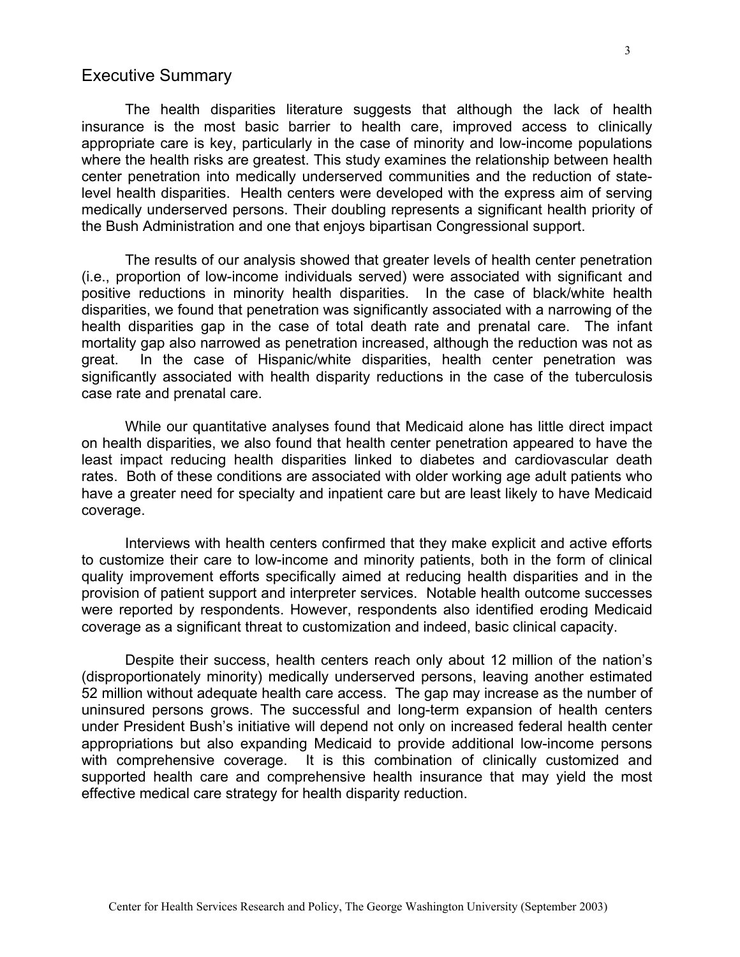## <span id="page-2-0"></span>Executive Summary

The health disparities literature suggests that although the lack of health insurance is the most basic barrier to health care, improved access to clinically appropriate care is key, particularly in the case of minority and low-income populations where the health risks are greatest. This study examines the relationship between health center penetration into medically underserved communities and the reduction of statelevel health disparities. Health centers were developed with the express aim of serving medically underserved persons. Their doubling represents a significant health priority of the Bush Administration and one that enjoys bipartisan Congressional support.

The results of our analysis showed that greater levels of health center penetration (i.e., proportion of low-income individuals served) were associated with significant and positive reductions in minority health disparities. In the case of black/white health disparities, we found that penetration was significantly associated with a narrowing of the health disparities gap in the case of total death rate and prenatal care. The infant mortality gap also narrowed as penetration increased, although the reduction was not as great. In the case of Hispanic/white disparities, health center penetration was significantly associated with health disparity reductions in the case of the tuberculosis case rate and prenatal care.

While our quantitative analyses found that Medicaid alone has little direct impact on health disparities, we also found that health center penetration appeared to have the least impact reducing health disparities linked to diabetes and cardiovascular death rates. Both of these conditions are associated with older working age adult patients who have a greater need for specialty and inpatient care but are least likely to have Medicaid coverage.

Interviews with health centers confirmed that they make explicit and active efforts to customize their care to low-income and minority patients, both in the form of clinical quality improvement efforts specifically aimed at reducing health disparities and in the provision of patient support and interpreter services. Notable health outcome successes were reported by respondents. However, respondents also identified eroding Medicaid coverage as a significant threat to customization and indeed, basic clinical capacity.

Despite their success, health centers reach only about 12 million of the nation's (disproportionately minority) medically underserved persons, leaving another estimated 52 million without adequate health care access. The gap may increase as the number of uninsured persons grows. The successful and long-term expansion of health centers under President Bush's initiative will depend not only on increased federal health center appropriations but also expanding Medicaid to provide additional low-income persons with comprehensive coverage. It is this combination of clinically customized and supported health care and comprehensive health insurance that may yield the most effective medical care strategy for health disparity reduction.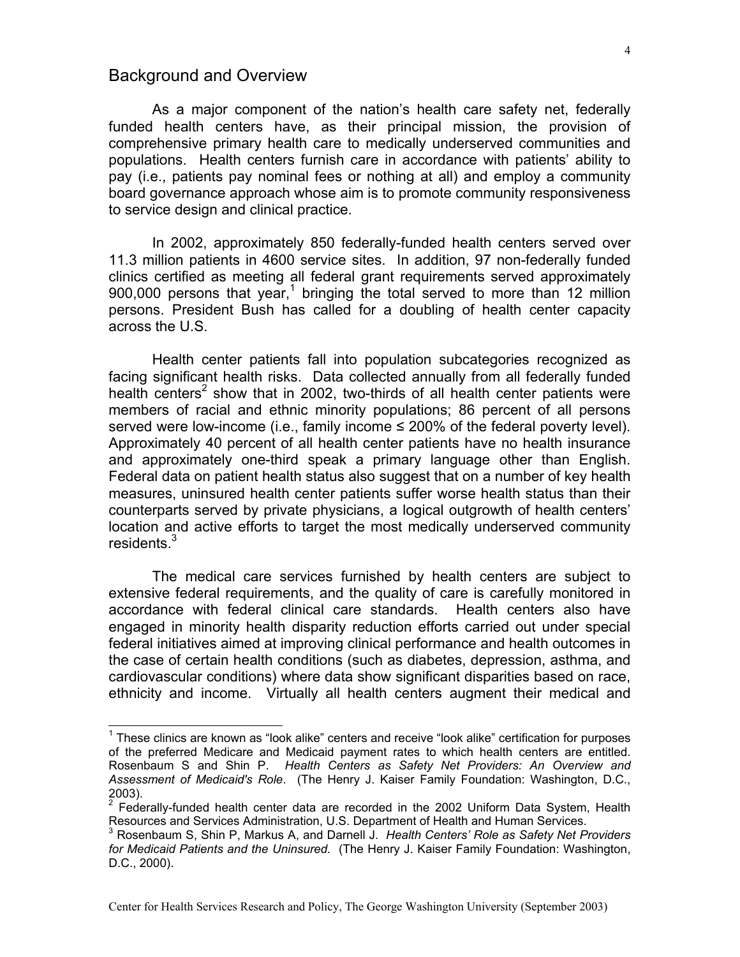## <span id="page-3-0"></span>Background and Overview

As a major component of the nation's health care safety net, federally funded health centers have, as their principal mission, the provision of comprehensive primary health care to medically underserved communities and populations. Health centers furnish care in accordance with patients' ability to pay (i.e., patients pay nominal fees or nothing at all) and employ a community board governance approach whose aim is to promote community responsiveness to service design and clinical practice.

In 2002, approximately 850 federally-funded health centers served over 11.3 million patients in 4600 service sites. In addition, 97 non-federally funded clinics certified as meeting all federal grant requirements served approximately 900,000 persons that year,<sup>[1](#page-3-1)</sup> bringing the total served to more than 12 million persons. President Bush has called for a doubling of health center capacity across the U.S.

Health center patients fall into population subcategories recognized as facing significant health risks. Data collected annually from all federally funded health centers<sup>[2](#page-3-2)</sup> show that in 2002, two-thirds of all health center patients were members of racial and ethnic minority populations; 86 percent of all persons served were low-income (i.e., family income  $\leq$  200% of the federal poverty level). Approximately 40 percent of all health center patients have no health insurance and approximately one-third speak a primary language other than English. Federal data on patient health status also suggest that on a number of key health measures, uninsured health center patients suffer worse health status than their counterparts served by private physicians, a logical outgrowth of health centers' location and active efforts to target the most medically underserved community residents.<sup>[3](#page-3-3)</sup>

The medical care services furnished by health centers are subject to extensive federal requirements, and the quality of care is carefully monitored in accordance with federal clinical care standards. Health centers also have engaged in minority health disparity reduction efforts carried out under special federal initiatives aimed at improving clinical performance and health outcomes in the case of certain health conditions (such as diabetes, depression, asthma, and cardiovascular conditions) where data show significant disparities based on race, ethnicity and income. Virtually all health centers augment their medical and

<span id="page-3-1"></span>1 These clinics are known as "look alike" centers and receive "look alike" certification for purposes of the preferred Medicare and Medicaid payment rates to which health centers are entitled. Rosenbaum S and Shin P. *Health Centers as Safety Net Providers: An Overview and Assessment of Medicaid's Role*. (The Henry J. Kaiser Family Foundation: Washington, D.C.,  $2003$ ).

<span id="page-3-2"></span> $2$  Federally-funded health center data are recorded in the 2002 Uniform Data System, Health Resources and Services Administration, U.S. Department of Health and Human Services. 3

<span id="page-3-3"></span>Rosenbaum S, Shin P, Markus A, and Darnell J. *Health Centers' Role as Safety Net Providers for Medicaid Patients and the Uninsured.* (The Henry J. Kaiser Family Foundation: Washington, D.C., 2000).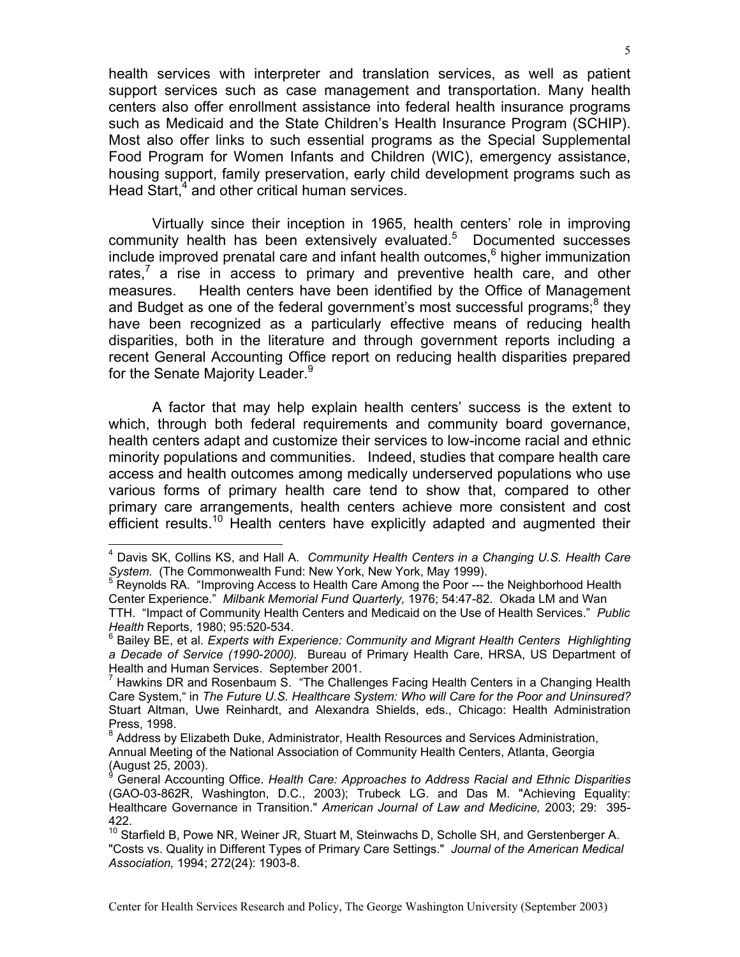health services with interpreter and translation services, as well as patient support services such as case management and transportation. Many health centers also offer enrollment assistance into federal health insurance programs such as Medicaid and the State Children's Health Insurance Program (SCHIP). Most also offer links to such essential programs as the Special Supplemental Food Program for Women Infants and Children (WIC), emergency assistance, housing support, family preservation, early child development programs such as Head Start,<sup>[4](#page-4-0)</sup> and other critical human services.

Virtually since their inception in 1965, health centers' role in improving community health has been extensively evaluated.<sup>[5](#page-4-1)</sup> Documented successes include improved prenatal care and infant health outcomes, $<sup>6</sup>$  $<sup>6</sup>$  $<sup>6</sup>$  higher immunization</sup> rates,<sup>7</sup> a rise in access to primary and preventive health care, and other measures. Health centers have been identified by the Office of Management and Budget as one of the federal government's most successful programs;<sup>8</sup> they have been recognized as a particularly effective means of reducing health disparities, both in the literature and through government reports including a recent General Accounting Office report on reducing health disparities prepared for the Senate Majority Leader.<sup>[9](#page-4-5)</sup>

A factor that may help explain health centers' success is the extent to which, through both federal requirements and community board governance, health centers adapt and customize their services to low-income racial and ethnic minority populations and communities. Indeed, studies that compare health care access and health outcomes among medically underserved populations who use various forms of primary health care tend to show that, compared to other primary care arrangements, health centers achieve more consistent and cost efficient results.<sup>10</sup> Health centers have explicitly adapted and augmented their

<span id="page-4-0"></span>4 Davis SK, Collins KS, and Hall A. *Community Health Centers in a Changing U.S. Health Care*  S*ystem.* (The Commonwealth Fund: New York, New York, May 1999).<br><sup>5</sup> Reynolds RA. "Improving Access to Health Care Among the Poor --- the Neighborhood Health

<span id="page-4-1"></span>Center Experience." *Milbank Memorial Fund Quarterly,* 1976; 54:47-82. Okada LM and Wan TTH. "Impact of Community Health Centers and Medicaid on the Use of Health Services." *Public Health* Reports, 1980; 95:520-534.

<span id="page-4-2"></span><sup>6</sup> Bailey BE, et al. *Experts with Experience: Community and Migrant Health Centers Highlighting a Decade of Service (1990-2000).* Bureau of Primary Health Care, HRSA, US Department of Health and Human Services. September 2001.

<span id="page-4-3"></span><sup>7</sup> Hawkins DR and Rosenbaum S. "The Challenges Facing Health Centers in a Changing Health Care System," in *The Future U.S. Healthcare System: Who will Care for the Poor and Uninsured?* Stuart Altman, Uwe Reinhardt, and Alexandra Shields, eds., Chicago: Health Administration Press, 1998.

<span id="page-4-4"></span><sup>8</sup> Address by Elizabeth Duke, Administrator, Health Resources and Services Administration, Annual Meeting of the National Association of Community Health Centers, Atlanta, Georgia (August 25, 2003).

<span id="page-4-5"></span>General Accounting Office. *Health Care: Approaches to Address Racial and Ethnic Disparities* (GAO-03-862R, Washington, D.C., 2003); Trubeck LG. and Das M. "Achieving Equality: Healthcare Governance in Transition." *American Journal of Law and Medicine,* 2003; 29: 395- 422.

<span id="page-4-6"></span><sup>&</sup>lt;sup>10</sup> Starfield B, Powe NR, Weiner JR, Stuart M, Steinwachs D, Scholle SH, and Gerstenberger A. "Costs vs. Quality in Different Types of Primary Care Settings." *Journal of the American Medical Association,* 1994; 272(24): 1903-8.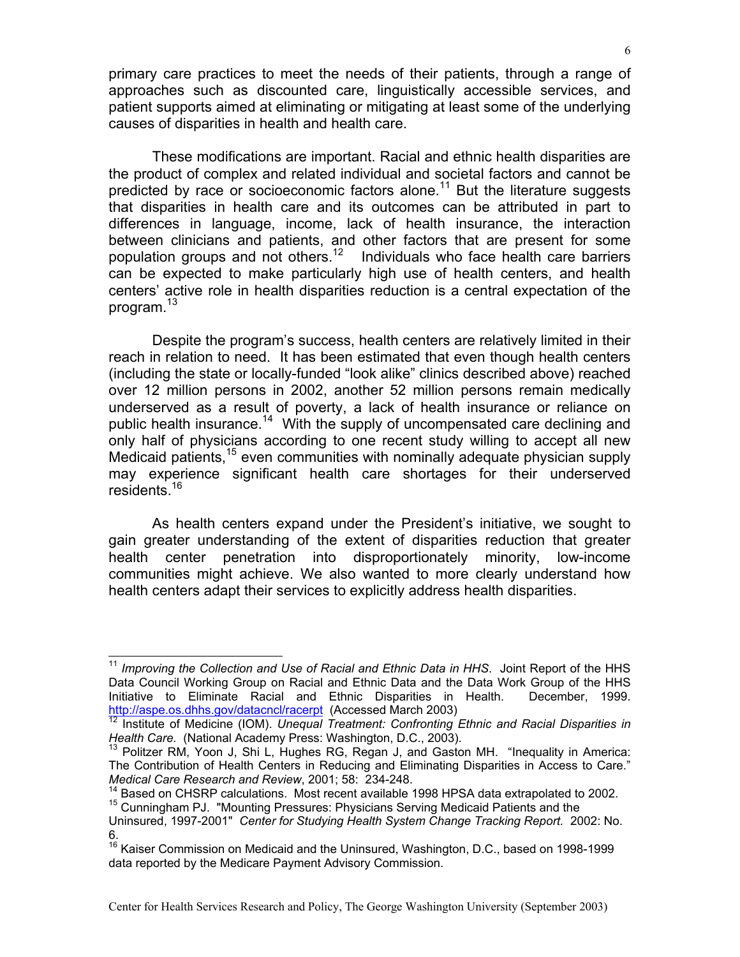primary care practices to meet the needs of their patients, through a range of approaches such as discounted care, linguistically accessible services, and patient supports aimed at eliminating or mitigating at least some of the underlying causes of disparities in health and health care.

These modifications are important. Racial and ethnic health disparities are the product of complex and related individual and societal factors and cannot be predicted by race or socioeconomic factors alone.<sup>11</sup> But the literature suggests that disparities in health care and its outcomes can be attributed in part to differences in language, income, lack of health insurance, the interaction between clinicians and patients, and other factors that are present for some population groups and not others.<sup>12</sup> Individuals who face health care barriers can be expected to make particularly high use of health centers, and health centers' active role in health disparities reduction is a central expectation of the program.<sup>13</sup>

Despite the program's success, health centers are relatively limited in their reach in relation to need. It has been estimated that even though health centers (including the state or locally-funded "look alike" clinics described above) reached over 12 million persons in 2002, another 52 million persons remain medically underserved as a result of poverty, a lack of health insurance or reliance on public health insurance.<sup>14</sup> With the supply of uncompensated care declining and only half of physicians according to one recent study willing to accept all new Medicaid patients,<sup>15</sup> even communities with nominally adequate physician supply may experience significant health care shortages for their underserved residents.<sup>16</sup>

As health centers expand under the President's initiative, we sought to gain greater understanding of the extent of disparities reduction that greater health center penetration into disproportionately minority, low-income communities might achieve. We also wanted to more clearly understand how health centers adapt their services to explicitly address health disparities.

<span id="page-5-0"></span><sup>&</sup>lt;sup>11</sup> Improving the Collection and Use of Racial and Ethnic Data in HHS. Joint Report of the HHS Data Council Working Group on Racial and Ethnic Data and the Data Work Group of the HHS Initiative to Eliminate Racial and Ethnic Disparities in Health. December, 1999.

<span id="page-5-1"></span>[http://aspe.os.dhhs.gov/datacncl/racerpt](http://aspe.os.dhhs.gov/datacncl/racerpt/)</u> (Accessed March 2003)<br><sup>[12](http://aspe.os.dhhs.gov/datacncl/racerpt/)</sup> Institute of Medicine (IOM). *Unequal Treatment: Confronting Ethnic and Racial Disparities in*<br>*Health Care.* (National Academy Press: Washington, D.C.,

<span id="page-5-2"></span><sup>&</sup>lt;sup>13</sup> Politzer RM, Yoon J, Shi L, Hughes RG, Regan J, and Gaston MH. "Inequality in America: The Contribution of Health Centers in Reducing and Eliminating Disparities in Access to Care." *Medical Care Research and Review*, 2001; 58: 234-248.

<span id="page-5-4"></span><span id="page-5-3"></span><sup>&</sup>lt;sup>14</sup> Based on CHSRP calculations. Most recent available 1998 HPSA data extrapolated to 2002. <sup>15</sup> Cunningham PJ. "Mounting Pressures: Physicians Serving Medicaid Patients and the

Uninsured, 1997-2001" *Center for Studying Health System Change Tracking Report.* 2002: No. 6.

<span id="page-5-5"></span><sup>&</sup>lt;sup>16</sup> Kaiser Commission on Medicaid and the Uninsured, Washington, D.C., based on 1998-1999 data reported by the Medicare Payment Advisory Commission.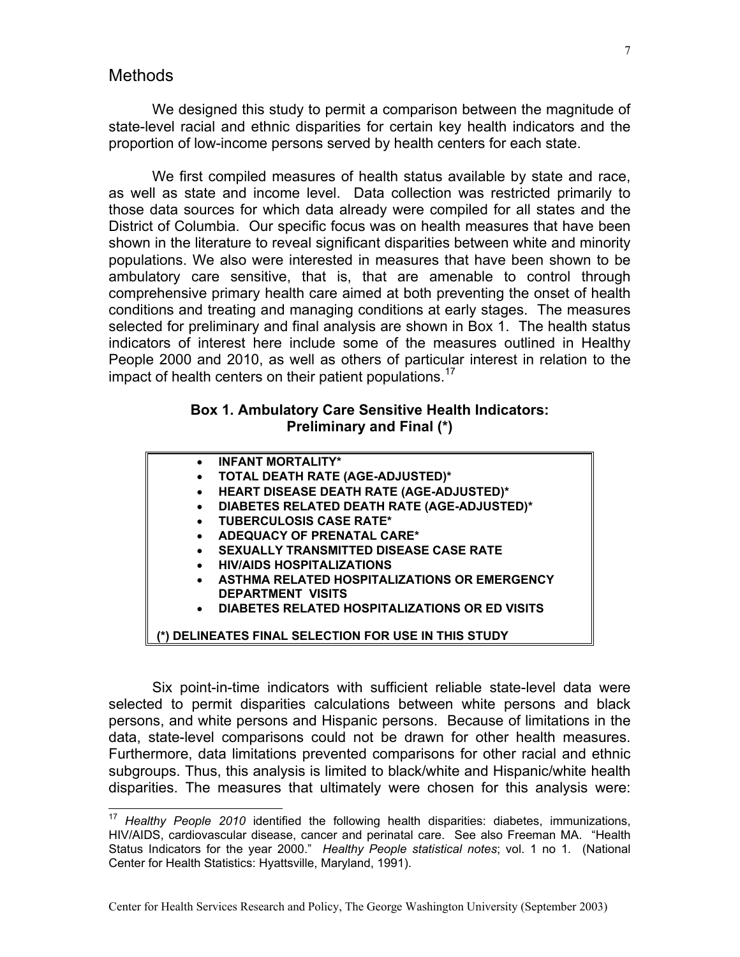### <span id="page-6-0"></span>Methods

We designed this study to permit a comparison between the magnitude of state-level racial and ethnic disparities for certain key health indicators and the proportion of low-income persons served by health centers for each state.

We first compiled measures of health status available by state and race, as well as state and income level. Data collection was restricted primarily to those data sources for which data already were compiled for all states and the District of Columbia. Our specific focus was on health measures that have been shown in the literature to reveal significant disparities between white and minority populations. We also were interested in measures that have been shown to be ambulatory care sensitive, that is, that are amenable to control through comprehensive primary health care aimed at both preventing the onset of health conditions and treating and managing conditions at early stages. The measures selected for preliminary and final analysis are shown in Box 1. The health status indicators of interest here include some of the measures outlined in Healthy People 2000 and 2010, as well as others of particular interest in relation to the impact of health centers on their patient populations.<sup>17</sup>

#### **Box 1. Ambulatory Care Sensitive Health Indicators: Preliminary and Final (\*)**

- **INFANT MORTALITY\***
- **TOTAL DEATH RATE (AGE-ADJUSTED)\***
- **HEART DISEASE DEATH RATE (AGE-ADJUSTED)\***
- **DIABETES RELATED DEATH RATE (AGE-ADJUSTED)\***
- **TUBERCULOSIS CASE RATE\***
- **ADEQUACY OF PRENATAL CARE\***
- **SEXUALLY TRANSMITTED DISEASE CASE RATE**
- **HIV/AIDS HOSPITALIZATIONS**
- **ASTHMA RELATED HOSPITALIZATIONS OR EMERGENCY DEPARTMENT VISITS**
- **DIABETES RELATED HOSPITALIZATIONS OR ED VISITS**

 **(\*) DELINEATES FINAL SELECTION FOR USE IN THIS STUDY**

Six point-in-time indicators with sufficient reliable state-level data were selected to permit disparities calculations between white persons and black persons, and white persons and Hispanic persons. Because of limitations in the data, state-level comparisons could not be drawn for other health measures. Furthermore, data limitations prevented comparisons for other racial and ethnic subgroups. Thus, this analysis is limited to black/white and Hispanic/white health disparities. The measures that ultimately were chosen for this analysis were:

<span id="page-6-1"></span><sup>17</sup> *Healthy People 2010* identified the following health disparities: diabetes, immunizations, HIV/AIDS, cardiovascular disease, cancer and perinatal care. See also Freeman MA. "Health Status Indicators for the year 2000." *Healthy People statistical notes*; vol. 1 no 1*.* (National Center for Health Statistics: Hyattsville, Maryland, 1991).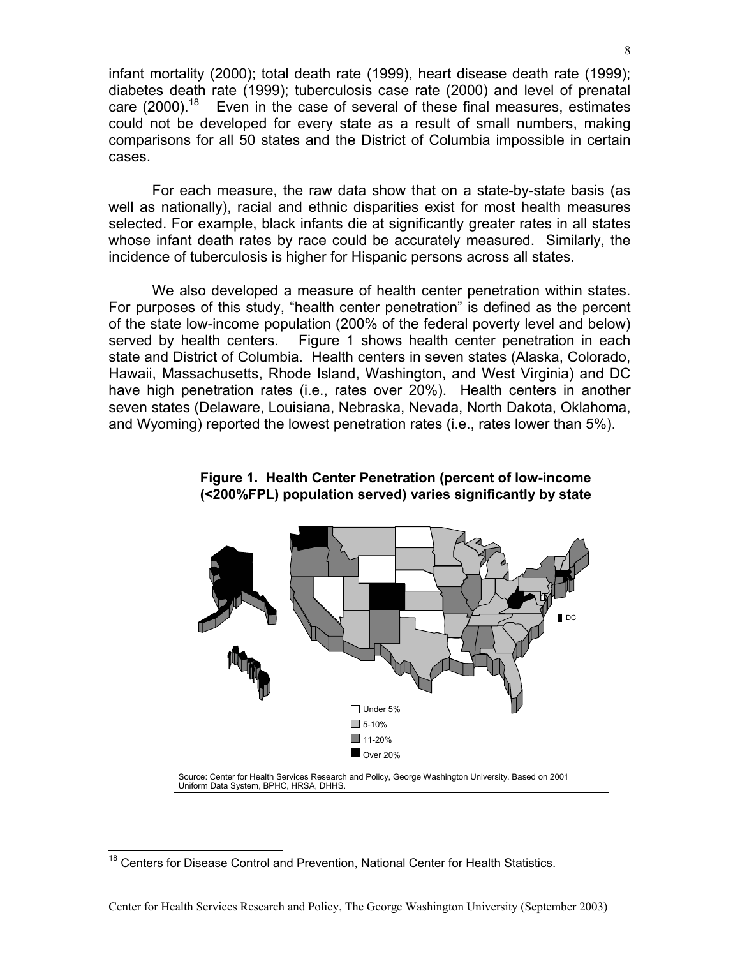infant mortality (2000); total death rate (1999), heart disease death rate (1999); diabetes death rate (1999); tuberculosis case rate (2000) and level of prenatal care (2000).<sup>18</sup> Even in the case of several of these final measures, estimates could not be developed for every state as a result of small numbers, making comparisons for all 50 states and the District of Columbia impossible in certain cases.

For each measure, the raw data show that on a state-by-state basis (as well as nationally), racial and ethnic disparities exist for most health measures selected. For example, black infants die at significantly greater rates in all states whose infant death rates by race could be accurately measured. Similarly, the incidence of tuberculosis is higher for Hispanic persons across all states.

We also developed a measure of health center penetration within states. For purposes of this study, "health center penetration" is defined as the percent of the state low-income population (200% of the federal poverty level and below) served by health centers. Figure 1 shows health center penetration in each state and District of Columbia. Health centers in seven states (Alaska, Colorado, Hawaii, Massachusetts, Rhode Island, Washington, and West Virginia) and DC have high penetration rates (i.e., rates over 20%). Health centers in another seven states (Delaware, Louisiana, Nebraska, Nevada, North Dakota, Oklahoma, and Wyoming) reported the lowest penetration rates (i.e., rates lower than 5%).



<span id="page-7-0"></span><sup>&</sup>lt;sup>18</sup> Centers for Disease Control and Prevention, National Center for Health Statistics.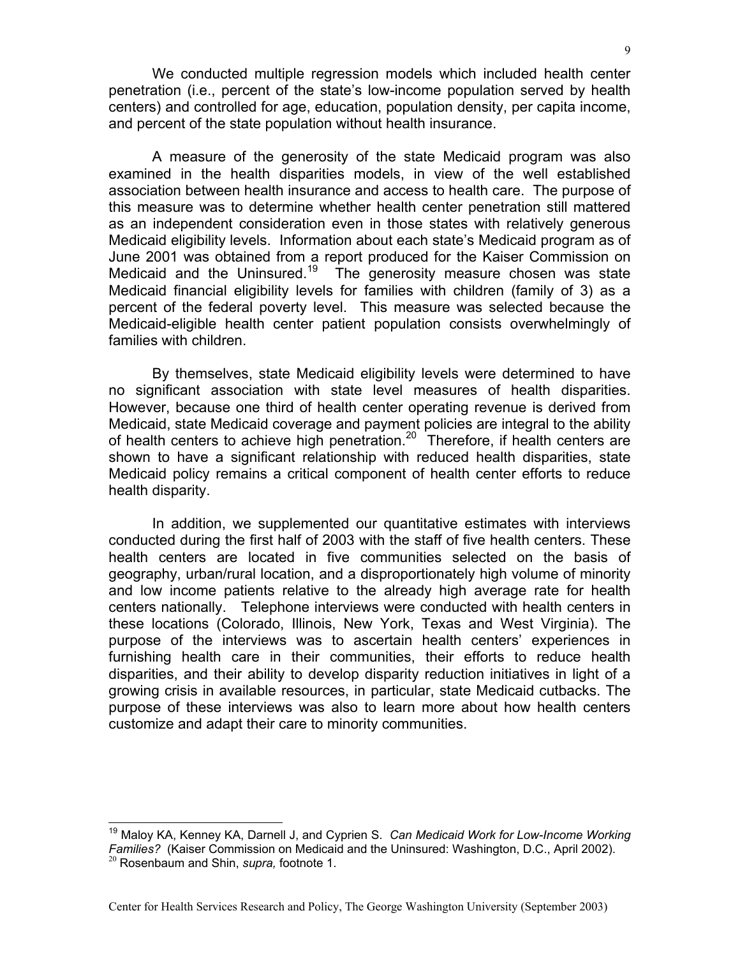We conducted multiple regression models which included health center penetration (i.e., percent of the state's low-income population served by health centers) and controlled for age, education, population density, per capita income, and percent of the state population without health insurance.

A measure of the generosity of the state Medicaid program was also examined in the health disparities models, in view of the well established association between health insurance and access to health care. The purpose of this measure was to determine whether health center penetration still mattered as an independent consideration even in those states with relatively generous Medicaid eligibility levels. Information about each state's Medicaid program as of June 2001 was obtained from a report produced for the Kaiser Commission on Medicaid and the Uninsured.<sup>19</sup> The generosity measure chosen was state Medicaid financial eligibility levels for families with children (family of 3) as a percent of the federal poverty level. This measure was selected because the Medicaid-eligible health center patient population consists overwhelmingly of families with children.

By themselves, state Medicaid eligibility levels were determined to have no significant association with state level measures of health disparities. However, because one third of health center operating revenue is derived from Medicaid, state Medicaid coverage and payment policies are integral to the ability of health centers to achieve high penetration.<sup>20</sup> Therefore, if health centers are shown to have a significant relationship with reduced health disparities, state Medicaid policy remains a critical component of health center efforts to reduce health disparity.

In addition, we supplemented our quantitative estimates with interviews conducted during the first half of 2003 with the staff of five health centers. These health centers are located in five communities selected on the basis of geography, urban/rural location, and a disproportionately high volume of minority and low income patients relative to the already high average rate for health centers nationally. Telephone interviews were conducted with health centers in these locations (Colorado, Illinois, New York, Texas and West Virginia). The purpose of the interviews was to ascertain health centers' experiences in furnishing health care in their communities, their efforts to reduce health disparities, and their ability to develop disparity reduction initiatives in light of a growing crisis in available resources, in particular, state Medicaid cutbacks. The purpose of these interviews was also to learn more about how health centers customize and adapt their care to minority communities.

<span id="page-8-1"></span><span id="page-8-0"></span>19 Maloy KA, Kenney KA, Darnell J, and Cyprien S. *Can Medicaid Work for Low-Income Working Families?* (Kaiser Commission on Medicaid and the Uninsured: Washington, D.C., April 2002). <sup>20</sup> Rosenbaum and Shin, *supra*, footnote 1.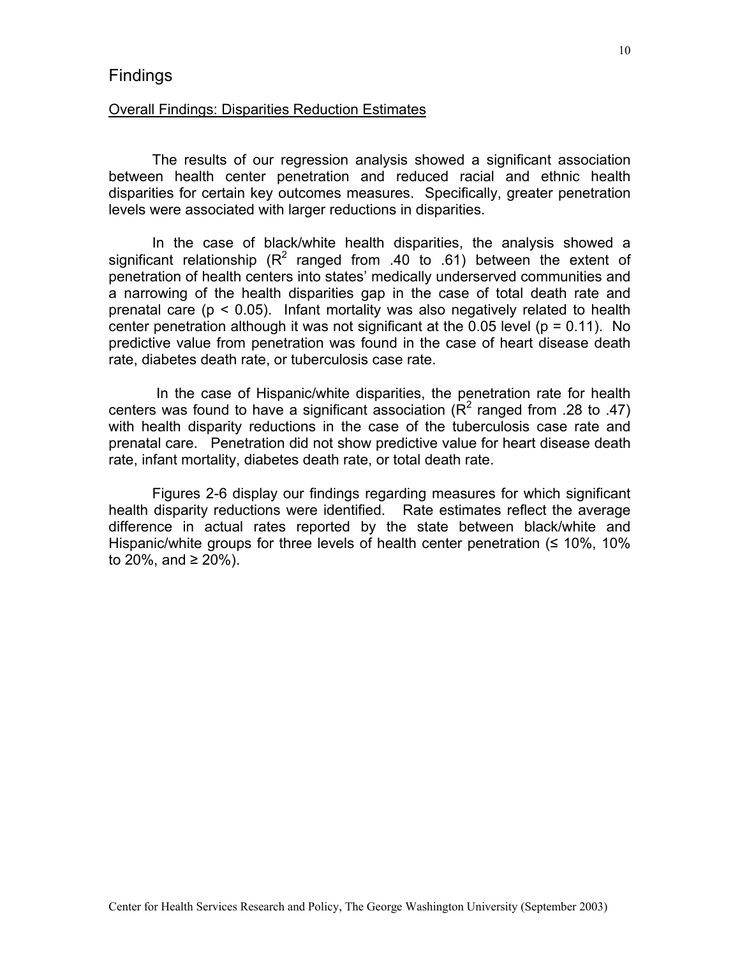## <span id="page-9-0"></span>**Findings**

#### Overall Findings: Disparities Reduction Estimates

The results of our regression analysis showed a significant association between health center penetration and reduced racial and ethnic health disparities for certain key outcomes measures. Specifically, greater penetration levels were associated with larger reductions in disparities.

In the case of black/white health disparities, the analysis showed a significant relationship ( $R^2$  ranged from .40 to .61) between the extent of penetration of health centers into states' medically underserved communities and a narrowing of the health disparities gap in the case of total death rate and prenatal care ( $p < 0.05$ ). Infant mortality was also negatively related to health center penetration although it was not significant at the 0.05 level ( $p = 0.11$ ). No predictive value from penetration was found in the case of heart disease death rate, diabetes death rate, or tuberculosis case rate.

In the case of Hispanic/white disparities, the penetration rate for health centers was found to have a significant association ( $R^2$  ranged from .28 to .47) with health disparity reductions in the case of the tuberculosis case rate and prenatal care. Penetration did not show predictive value for heart disease death rate, infant mortality, diabetes death rate, or total death rate.

Figures 2-6 display our findings regarding measures for which significant health disparity reductions were identified. Rate estimates reflect the average difference in actual rates reported by the state between black/white and Hispanic/white groups for three levels of health center penetration  $($   $\leq$  10%, 10% to 20%, and ≥ 20%).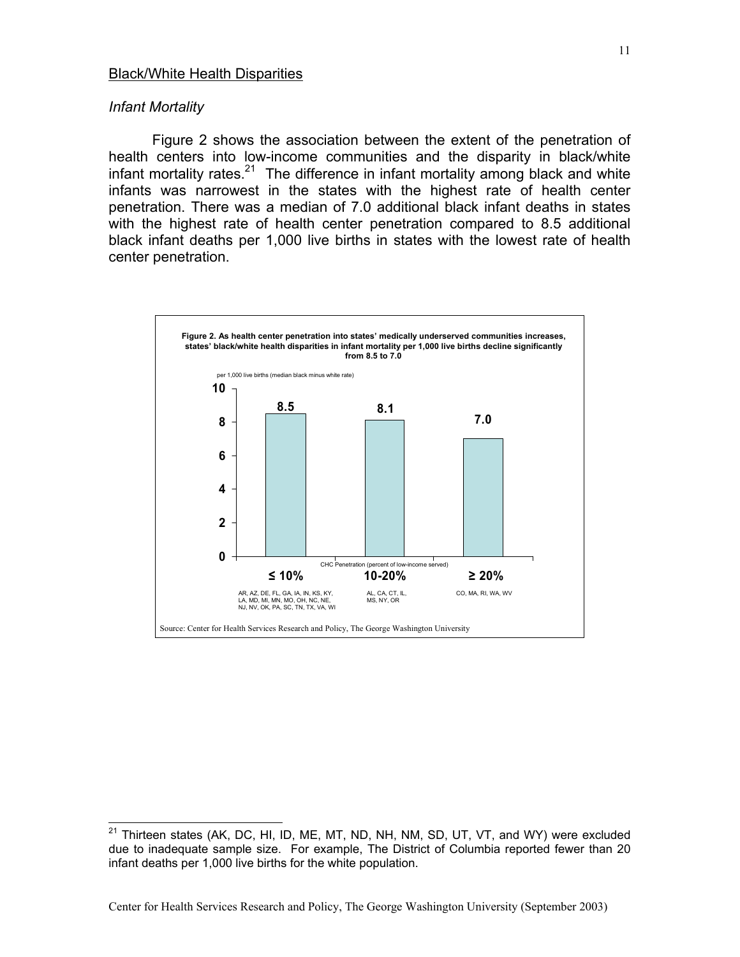#### <span id="page-10-0"></span>*Infant Mortality*

Figure 2 shows the association between the extent of the penetration of health centers into low-income communities and the disparity in black/white infant mortality rates.<sup>21</sup> The difference in infant mortality among black and white infants was narrowest in the states with the highest rate of health center penetration. There was a median of 7.0 additional black infant deaths in states with the highest rate of health center penetration compared to 8.5 additional black infant deaths per 1,000 live births in states with the lowest rate of health center penetration.



<span id="page-10-1"></span> $21$  Thirteen states (AK, DC, HI, ID, ME, MT, ND, NH, NM, SD, UT, VT, and WY) were excluded due to inadequate sample size. For example, The District of Columbia reported fewer than 20 infant deaths per 1,000 live births for the white population.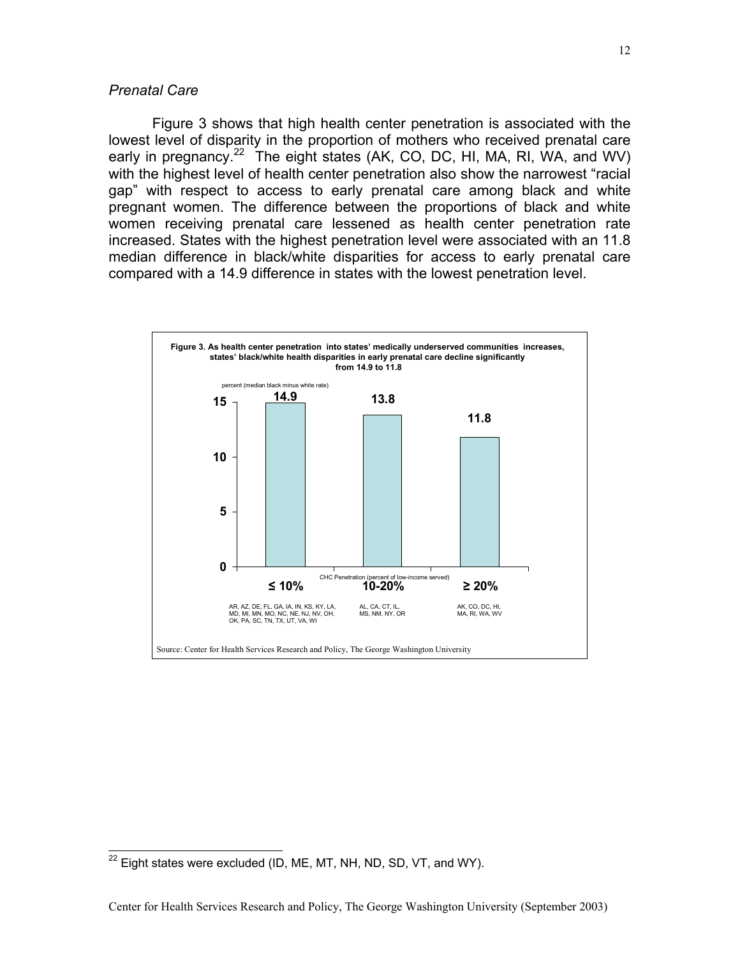#### *Prenatal Care*

Figure 3 shows that high health center penetration is associated with the lowest level of disparity in the proportion of mothers who received prenatal care early in pregnancy.<sup>22</sup> The eight states (AK, CO, DC, HI, MA, RI, WA, and WV) with the highest level of health center penetration also show the narrowest "racial gap" with respect to access to early prenatal care among black and white pregnant women. The difference between the proportions of black and white women receiving prenatal care lessened as health center penetration rate increased. States with the highest penetration level were associated with an 11.8 median difference in black/white disparities for access to early prenatal care compared with a 14.9 difference in states with the lowest penetration level.

<span id="page-11-0"></span>12



<span id="page-11-1"></span> $^{22}$  Eight states were excluded (ID, ME, MT, NH, ND, SD, VT, and WY).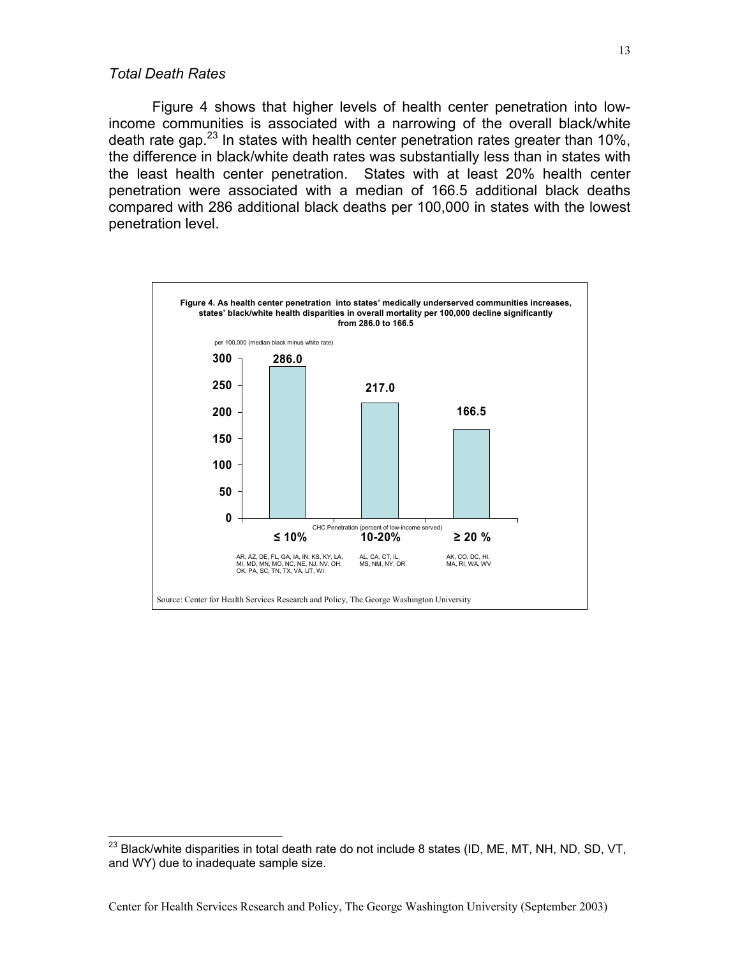#### <span id="page-12-0"></span>*Total Death Rates*

Figure 4 shows that higher levels of health center penetration into lowincome communities is associated with a narrowing of the overall black/white death rate gap. $^{23}$  In states with health center penetration rates greater than 10%, the difference in black/white death rates was substantially less than in states with the least health center penetration. States with at least 20% health center penetration were associated with a median of 166.5 additional black deaths compared with 286 additional black deaths per 100,000 in states with the lowest penetration level.



<span id="page-12-1"></span> $^{23}$  Black/white disparities in total death rate do not include 8 states (ID, ME, MT, NH, ND, SD, VT, and WY) due to inadequate sample size.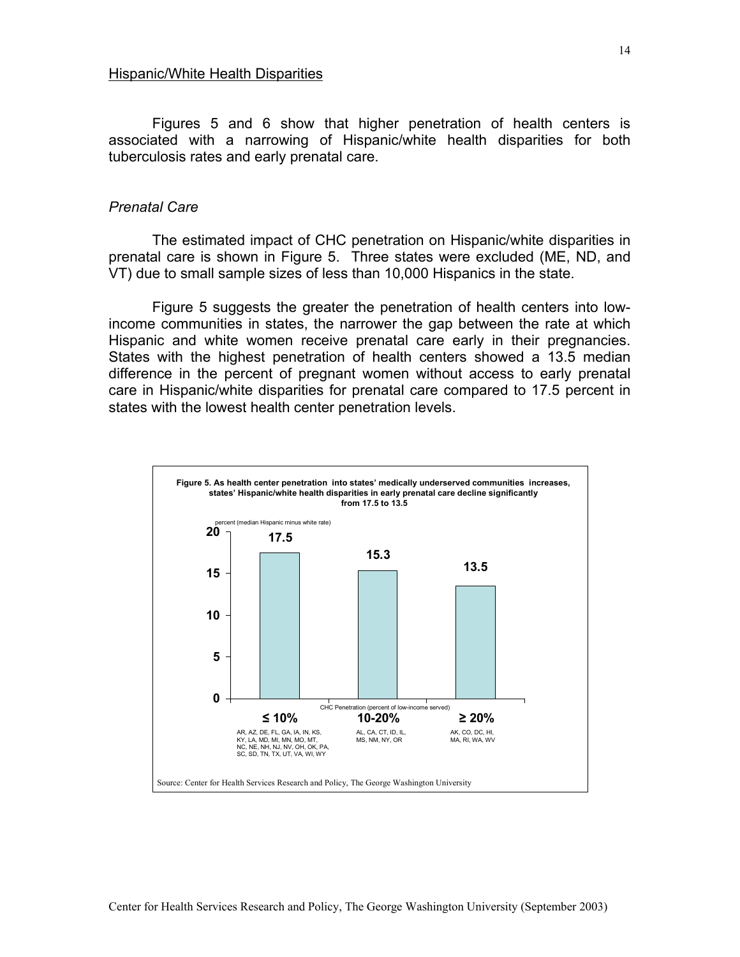<span id="page-13-0"></span>Figures 5 and 6 show that higher penetration of health centers is associated with a narrowing of Hispanic/white health disparities for both tuberculosis rates and early prenatal care.

#### *Prenatal Care*

The estimated impact of CHC penetration on Hispanic/white disparities in prenatal care is shown in Figure 5. Three states were excluded (ME, ND, and VT) due to small sample sizes of less than 10,000 Hispanics in the state.

Figure 5 suggests the greater the penetration of health centers into lowincome communities in states, the narrower the gap between the rate at which Hispanic and white women receive prenatal care early in their pregnancies. States with the highest penetration of health centers showed a 13.5 median difference in the percent of pregnant women without access to early prenatal care in Hispanic/white disparities for prenatal care compared to 17.5 percent in states with the lowest health center penetration levels.

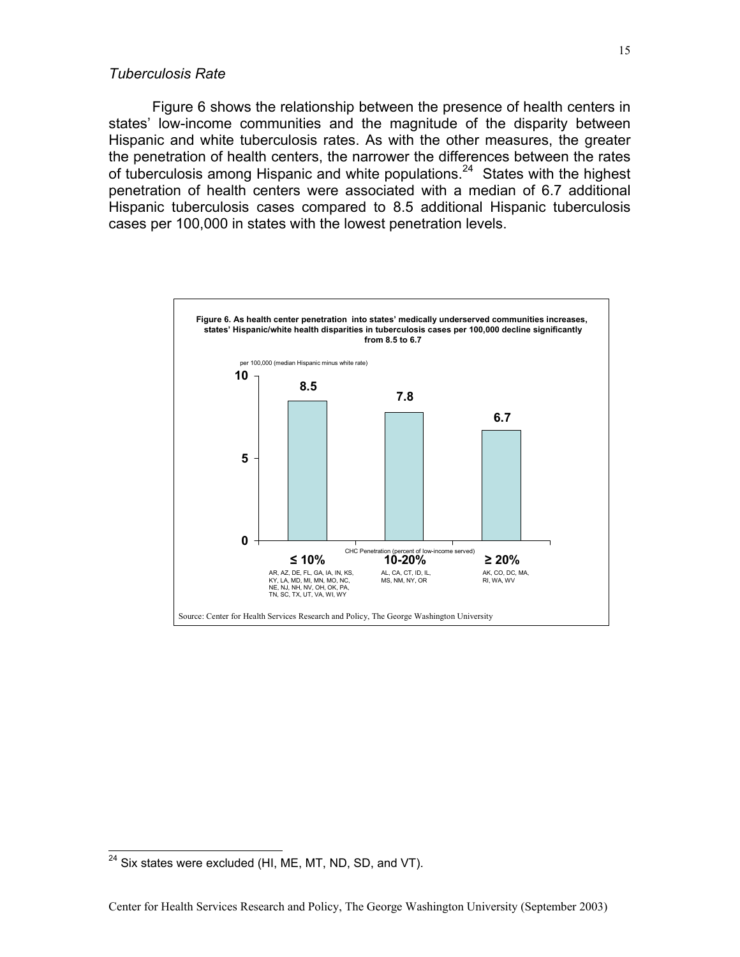#### <span id="page-14-0"></span>*Tuberculosis Rate*

Figure 6 shows the relationship between the presence of health centers in states' low-income communities and the magnitude of the disparity between Hispanic and white tuberculosis rates. As with the other measures, the greater the penetration of health centers, the narrower the differences between the rates of tuberculosis among Hispanic and white populations.<sup>24</sup> States with the highest penetration of health centers were associated with a median of 6.7 additional Hispanic tuberculosis cases compared to 8.5 additional Hispanic tuberculosis cases per 100,000 in states with the lowest penetration levels.



<span id="page-14-1"></span> $24$  Six states were excluded (HI, ME, MT, ND, SD, and VT).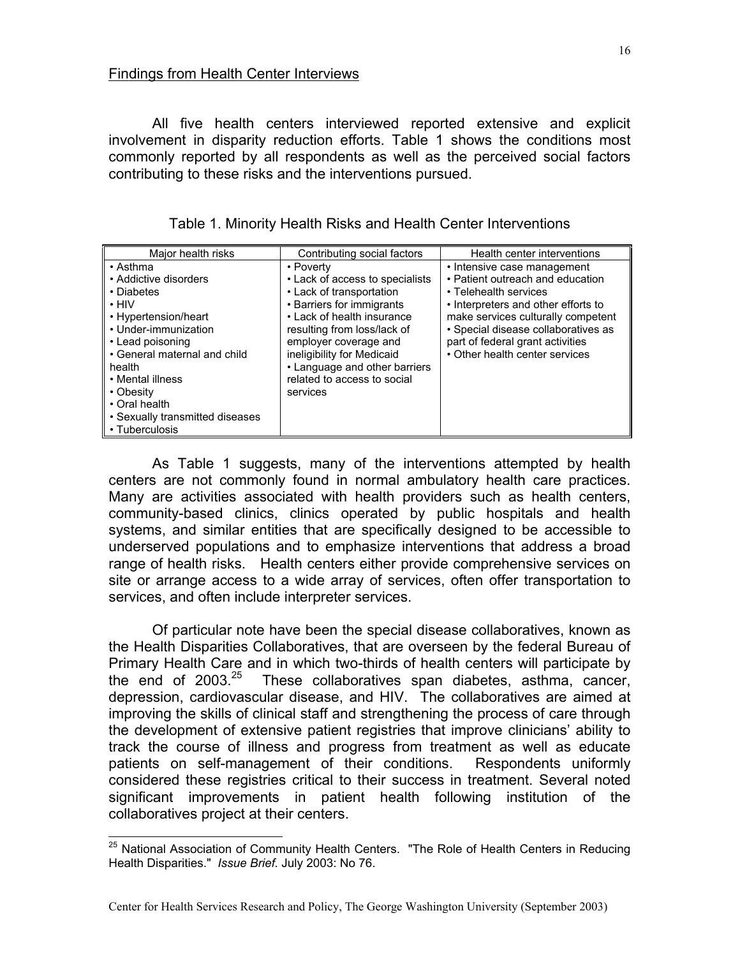<span id="page-15-0"></span>All five health centers interviewed reported extensive and explicit involvement in disparity reduction efforts. Table 1 shows the conditions most commonly reported by all respondents as well as the perceived social factors contributing to these risks and the interventions pursued.

| Major health risks                                                                                                                                                                                                                   | Contributing social factors                                                                                                                                                                                                                                                                           | Health center interventions                                                                                                                                                                                                                                                        |
|--------------------------------------------------------------------------------------------------------------------------------------------------------------------------------------------------------------------------------------|-------------------------------------------------------------------------------------------------------------------------------------------------------------------------------------------------------------------------------------------------------------------------------------------------------|------------------------------------------------------------------------------------------------------------------------------------------------------------------------------------------------------------------------------------------------------------------------------------|
| $\cdot$ Asthma<br>• Addictive disorders<br>• Diabetes<br>$\cdot$ HIV<br>• Hypertension/heart<br>• Under-immunization<br>• Lead poisoning<br>• General maternal and child<br>health<br>• Mental illness<br>• Obesity<br>• Oral health | • Poverty<br>• Lack of access to specialists<br>• Lack of transportation<br>• Barriers for immigrants<br>• Lack of health insurance<br>resulting from loss/lack of<br>employer coverage and<br>ineligibility for Medicaid<br>• Language and other barriers<br>related to access to social<br>services | • Intensive case management<br>• Patient outreach and education<br>• Telehealth services<br>• Interpreters and other efforts to<br>make services culturally competent<br>· Special disease collaboratives as<br>part of federal grant activities<br>• Other health center services |
| • Sexually transmitted diseases<br>• Tuberculosis                                                                                                                                                                                    |                                                                                                                                                                                                                                                                                                       |                                                                                                                                                                                                                                                                                    |

Table 1. Minority Health Risks and Health Center Interventions

As Table 1 suggests, many of the interventions attempted by health centers are not commonly found in normal ambulatory health care practices. Many are activities associated with health providers such as health centers, community-based clinics, clinics operated by public hospitals and health systems, and similar entities that are specifically designed to be accessible to underserved populations and to emphasize interventions that address a broad range of health risks. Health centers either provide comprehensive services on site or arrange access to a wide array of services, often offer transportation to services, and often include interpreter services.

Of particular note have been the special disease collaboratives, known as the Health Disparities Collaboratives, that are overseen by the federal Bureau of Primary Health Care and in which two-thirds of health centers will participate by the end of  $2003^{25}$  These collaboratives span diabetes, asthma, cancer, depression, cardiovascular disease, and HIV. The collaboratives are aimed at improving the skills of clinical staff and strengthening the process of care through the development of extensive patient registries that improve clinicians' ability to track the course of illness and progress from treatment as well as educate patients on self-management of their conditions. Respondents uniformly considered these registries critical to their success in treatment. Several noted significant improvements in patient health following institution of the collaboratives project at their centers.

<span id="page-15-1"></span><sup>&</sup>lt;sup>25</sup> National Association of Community Health Centers. "The Role of Health Centers in Reducing Health Disparities." *Issue Brief.* July 2003: No 76.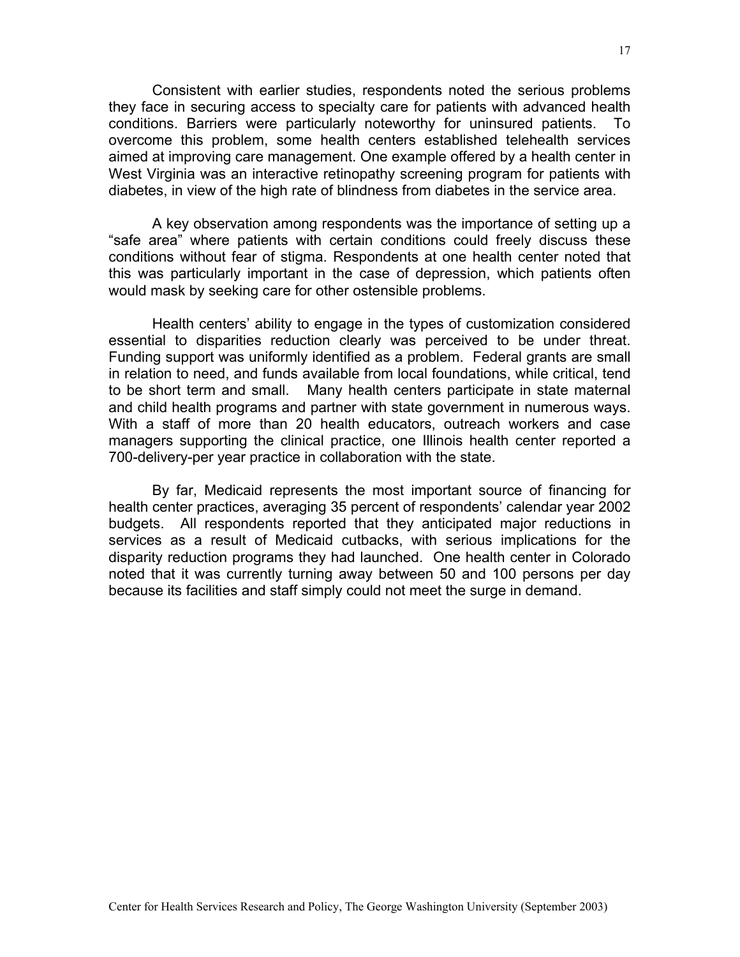Consistent with earlier studies, respondents noted the serious problems they face in securing access to specialty care for patients with advanced health conditions. Barriers were particularly noteworthy for uninsured patients. To overcome this problem, some health centers established telehealth services aimed at improving care management. One example offered by a health center in West Virginia was an interactive retinopathy screening program for patients with diabetes, in view of the high rate of blindness from diabetes in the service area.

A key observation among respondents was the importance of setting up a "safe area" where patients with certain conditions could freely discuss these conditions without fear of stigma. Respondents at one health center noted that this was particularly important in the case of depression, which patients often would mask by seeking care for other ostensible problems.

Health centers' ability to engage in the types of customization considered essential to disparities reduction clearly was perceived to be under threat. Funding support was uniformly identified as a problem. Federal grants are small in relation to need, and funds available from local foundations, while critical, tend to be short term and small. Many health centers participate in state maternal and child health programs and partner with state government in numerous ways. With a staff of more than 20 health educators, outreach workers and case managers supporting the clinical practice, one Illinois health center reported a 700-delivery-per year practice in collaboration with the state.

By far, Medicaid represents the most important source of financing for health center practices, averaging 35 percent of respondents' calendar year 2002 budgets. All respondents reported that they anticipated major reductions in services as a result of Medicaid cutbacks, with serious implications for the disparity reduction programs they had launched. One health center in Colorado noted that it was currently turning away between 50 and 100 persons per day because its facilities and staff simply could not meet the surge in demand.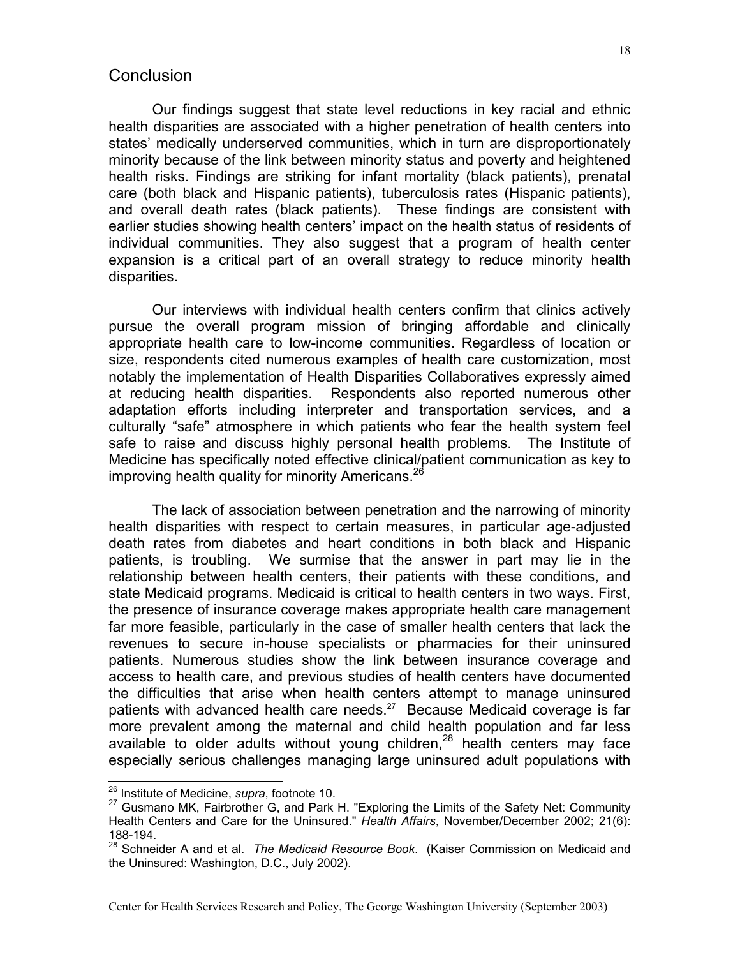## <span id="page-17-0"></span>**Conclusion**

Our findings suggest that state level reductions in key racial and ethnic health disparities are associated with a higher penetration of health centers into states' medically underserved communities, which in turn are disproportionately minority because of the link between minority status and poverty and heightened health risks. Findings are striking for infant mortality (black patients), prenatal care (both black and Hispanic patients), tuberculosis rates (Hispanic patients), and overall death rates (black patients). These findings are consistent with earlier studies showing health centers' impact on the health status of residents of individual communities. They also suggest that a program of health center expansion is a critical part of an overall strategy to reduce minority health disparities.

Our interviews with individual health centers confirm that clinics actively pursue the overall program mission of bringing affordable and clinically appropriate health care to low-income communities. Regardless of location or size, respondents cited numerous examples of health care customization, most notably the implementation of Health Disparities Collaboratives expressly aimed at reducing health disparities. Respondents also reported numerous other adaptation efforts including interpreter and transportation services, and a culturally "safe" atmosphere in which patients who fear the health system feel safe to raise and discuss highly personal health problems. The Institute of Medicine has specifically noted effective clinical/patient communication as key to improving health quality for minority Americans.<sup>[26](#page-17-1)</sup>

The lack of association between penetration and the narrowing of minority health disparities with respect to certain measures, in particular age-adjusted death rates from diabetes and heart conditions in both black and Hispanic patients, is troubling. We surmise that the answer in part may lie in the relationship between health centers, their patients with these conditions, and state Medicaid programs. Medicaid is critical to health centers in two ways. First, the presence of insurance coverage makes appropriate health care management far more feasible, particularly in the case of smaller health centers that lack the revenues to secure in-house specialists or pharmacies for their uninsured patients. Numerous studies show the link between insurance coverage and access to health care, and previous studies of health centers have documented the difficulties that arise when health centers attempt to manage uninsured patients with advanced health care needs. $27$  Because Medicaid coverage is far more prevalent among the maternal and child health population and far less available to older adults without young children, $28$  health centers may face especially serious challenges managing large uninsured adult populations with

<span id="page-17-2"></span><span id="page-17-1"></span>

<sup>&</sup>lt;sup>26</sup> Institute of Medicine, *supra*, footnote 10.<br><sup>27</sup> Gusmano MK, Fairbrother G, and Park H. "Exploring the Limits of the Safety Net: Community Health Centers and Care for the Uninsured." *Health Affairs*, November/December 2002; 21(6): 188-194.

<span id="page-17-3"></span><sup>28</sup> Schneider A and et al. *The Medicaid Resource Book*. (Kaiser Commission on Medicaid and the Uninsured: Washington, D.C., July 2002).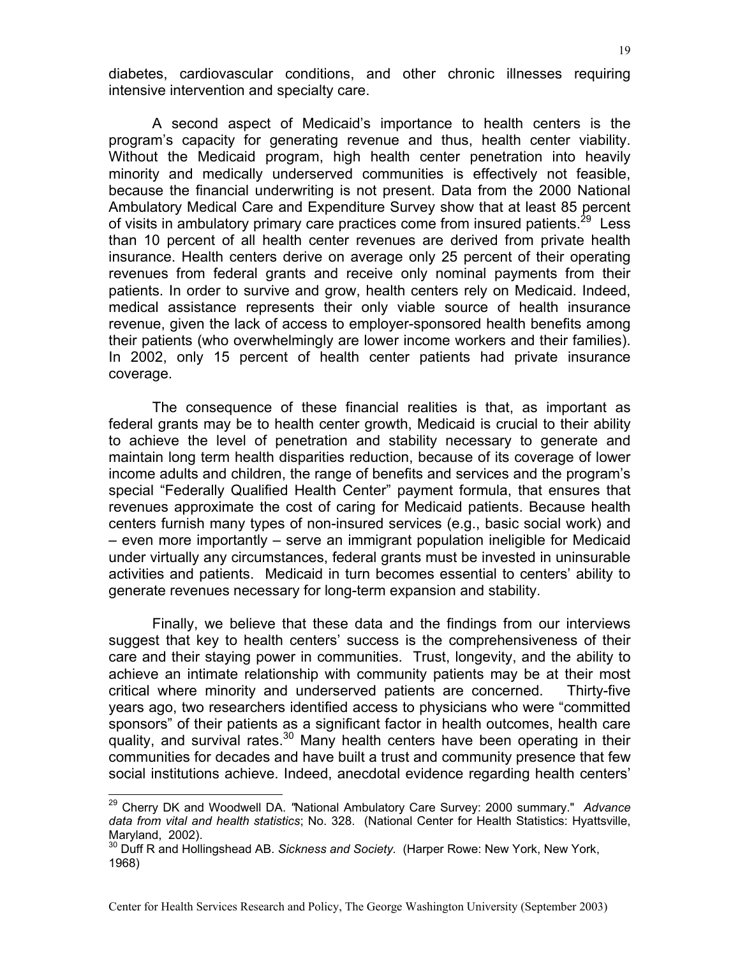diabetes, cardiovascular conditions, and other chronic illnesses requiring intensive intervention and specialty care.

A second aspect of Medicaid's importance to health centers is the program's capacity for generating revenue and thus, health center viability. Without the Medicaid program, high health center penetration into heavily minority and medically underserved communities is effectively not feasible, because the financial underwriting is not present. Data from the 2000 National Ambulatory Medical Care and Expenditure Survey show that at least 85 percent of visits in ambulatory primary care practices come from insured patients.<sup>29</sup> Less than 10 percent of all health center revenues are derived from private health insurance. Health centers derive on average only 25 percent of their operating revenues from federal grants and receive only nominal payments from their patients. In order to survive and grow, health centers rely on Medicaid. Indeed, medical assistance represents their only viable source of health insurance revenue, given the lack of access to employer-sponsored health benefits among their patients (who overwhelmingly are lower income workers and their families). In 2002, only 15 percent of health center patients had private insurance coverage.

The consequence of these financial realities is that, as important as federal grants may be to health center growth, Medicaid is crucial to their ability to achieve the level of penetration and stability necessary to generate and maintain long term health disparities reduction, because of its coverage of lower income adults and children, the range of benefits and services and the program's special "Federally Qualified Health Center" payment formula, that ensures that revenues approximate the cost of caring for Medicaid patients. Because health centers furnish many types of non-insured services (e.g., basic social work) and – even more importantly – serve an immigrant population ineligible for Medicaid under virtually any circumstances, federal grants must be invested in uninsurable activities and patients. Medicaid in turn becomes essential to centers' ability to generate revenues necessary for long-term expansion and stability.

Finally, we believe that these data and the findings from our interviews suggest that key to health centers' success is the comprehensiveness of their care and their staying power in communities. Trust, longevity, and the ability to achieve an intimate relationship with community patients may be at their most critical where minority and underserved patients are concerned. Thirty-five years ago, two researchers identified access to physicians who were "committed sponsors" of their patients as a significant factor in health outcomes, health care quality, and survival rates. $30$  Many health centers have been operating in their communities for decades and have built a trust and community presence that few social institutions achieve. Indeed, anecdotal evidence regarding health centers'

<span id="page-18-0"></span>29 Cherry DK and Woodwell DA. *"*National Ambulatory Care Survey: 2000 summary." *Advance data from vital and health statistics*; No. 328. (National Center for Health Statistics: Hyattsville,

<span id="page-18-1"></span>Maryland, 2002).<br><sup>30</sup> Duff R and Hollingshead AB. *Sickness and Society.* (Harper Rowe: New York, New York, 1968)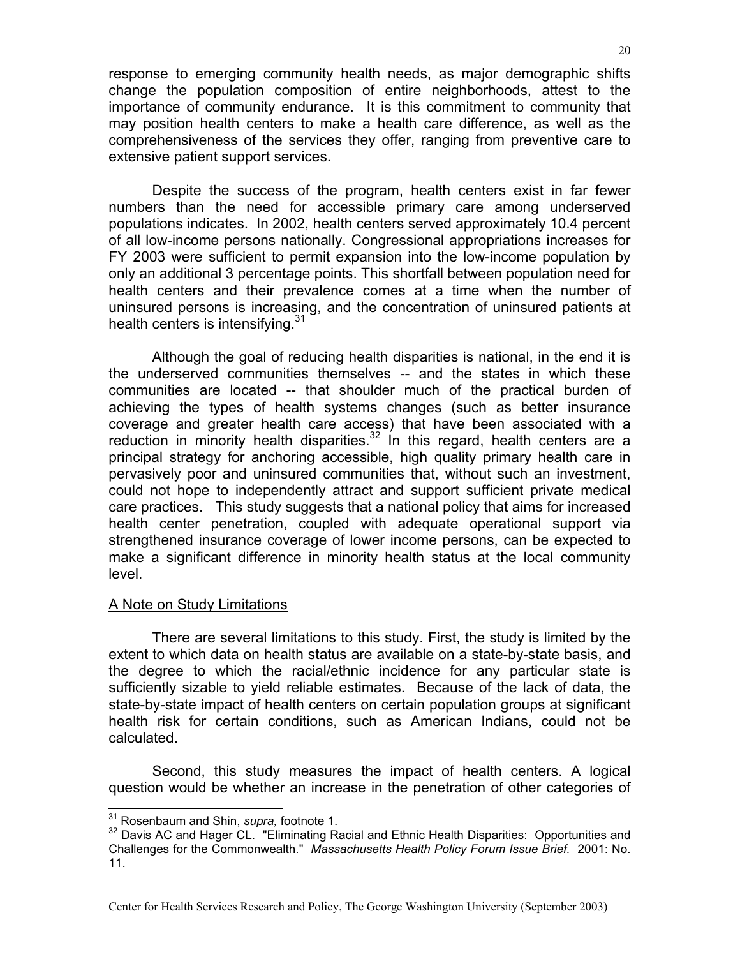<span id="page-19-0"></span>response to emerging community health needs, as major demographic shifts change the population composition of entire neighborhoods, attest to the importance of community endurance. It is this commitment to community that may position health centers to make a health care difference, as well as the comprehensiveness of the services they offer, ranging from preventive care to extensive patient support services.

Despite the success of the program, health centers exist in far fewer numbers than the need for accessible primary care among underserved populations indicates. In 2002, health centers served approximately 10.4 percent of all low-income persons nationally. Congressional appropriations increases for FY 2003 were sufficient to permit expansion into the low-income population by only an additional 3 percentage points. This shortfall between population need for health centers and their prevalence comes at a time when the number of uninsured persons is increasing, and the concentration of uninsured patients at health centers is intensifying.<sup>31</sup>

Although the goal of reducing health disparities is national, in the end it is the underserved communities themselves -- and the states in which these communities are located -- that shoulder much of the practical burden of achieving the types of health systems changes (such as better insurance coverage and greater health care access) that have been associated with a reduction in minority health disparities. $32$  In this regard, health centers are a principal strategy for anchoring accessible, high quality primary health care in pervasively poor and uninsured communities that, without such an investment, could not hope to independently attract and support sufficient private medical care practices. This study suggests that a national policy that aims for increased health center penetration, coupled with adequate operational support via strengthened insurance coverage of lower income persons, can be expected to make a significant difference in minority health status at the local community level.

#### A Note on Study Limitations

There are several limitations to this study. First, the study is limited by the extent to which data on health status are available on a state-by-state basis, and the degree to which the racial/ethnic incidence for any particular state is sufficiently sizable to yield reliable estimates. Because of the lack of data, the state-by-state impact of health centers on certain population groups at significant health risk for certain conditions, such as American Indians, could not be calculated.

Second, this study measures the impact of health centers. A logical question would be whether an increase in the penetration of other categories of

<span id="page-19-2"></span><span id="page-19-1"></span>

<sup>&</sup>lt;sup>31</sup> Rosenbaum and Shin, *supra,* footnote 1.<br><sup>32</sup> Davis AC and Hager CL. "Eliminating Racial and Ethnic Health Disparities: Opportunities and Challenges for the Commonwealth." *Massachusetts Health Policy Forum Issue Brief.* 2001: No. 11.